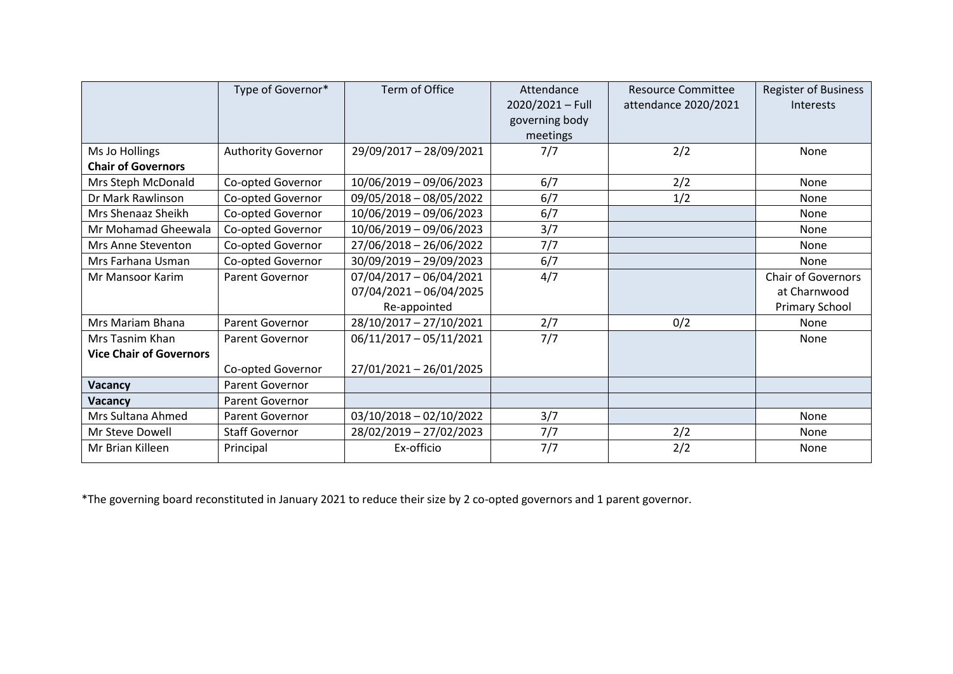|                                | Type of Governor*         | Term of Office            | Attendance<br>2020/2021 - Full<br>governing body | <b>Resource Committee</b><br>attendance 2020/2021 | <b>Register of Business</b><br>Interests |
|--------------------------------|---------------------------|---------------------------|--------------------------------------------------|---------------------------------------------------|------------------------------------------|
|                                |                           |                           | meetings                                         |                                                   |                                          |
| Ms Jo Hollings                 | <b>Authority Governor</b> | 29/09/2017 - 28/09/2021   | 7/7                                              | 2/2                                               | None                                     |
| <b>Chair of Governors</b>      |                           |                           |                                                  |                                                   |                                          |
| Mrs Steph McDonald             | Co-opted Governor         | 10/06/2019 - 09/06/2023   | 6/7                                              | 2/2                                               | None                                     |
| Dr Mark Rawlinson              | Co-opted Governor         | 09/05/2018 - 08/05/2022   | 6/7                                              | 1/2                                               | None                                     |
| Mrs Shenaaz Sheikh             | Co-opted Governor         | 10/06/2019 - 09/06/2023   | 6/7                                              |                                                   | None                                     |
| Mr Mohamad Gheewala            | Co-opted Governor         | 10/06/2019 - 09/06/2023   | 3/7                                              |                                                   | None                                     |
| Mrs Anne Steventon             | Co-opted Governor         | 27/06/2018 - 26/06/2022   | 7/7                                              |                                                   | None                                     |
| Mrs Farhana Usman              | Co-opted Governor         | 30/09/2019 - 29/09/2023   | 6/7                                              |                                                   | None                                     |
| <b>Mr Mansoor Karim</b>        | <b>Parent Governor</b>    | 07/04/2017 - 06/04/2021   | 4/7                                              |                                                   | <b>Chair of Governors</b>                |
|                                |                           | $07/04/2021 - 06/04/2025$ |                                                  |                                                   | at Charnwood                             |
|                                |                           | Re-appointed              |                                                  |                                                   | Primary School                           |
| Mrs Mariam Bhana               | Parent Governor           | 28/10/2017 - 27/10/2021   | 2/7                                              | 0/2                                               | None                                     |
| Mrs Tasnim Khan                | Parent Governor           | 06/11/2017 - 05/11/2021   | 7/7                                              |                                                   | None                                     |
| <b>Vice Chair of Governors</b> |                           |                           |                                                  |                                                   |                                          |
|                                | Co-opted Governor         | 27/01/2021 - 26/01/2025   |                                                  |                                                   |                                          |
| Vacancy                        | Parent Governor           |                           |                                                  |                                                   |                                          |
| Vacancy                        | Parent Governor           |                           |                                                  |                                                   |                                          |
| Mrs Sultana Ahmed              | <b>Parent Governor</b>    | $03/10/2018 - 02/10/2022$ | 3/7                                              |                                                   | None                                     |
| Mr Steve Dowell                | <b>Staff Governor</b>     | 28/02/2019 - 27/02/2023   | 7/7                                              | 2/2                                               | None                                     |
| Mr Brian Killeen               | Principal                 | Ex-officio                | 7/7                                              | 2/2                                               | None                                     |

\*The governing board reconstituted in January 2021 to reduce their size by 2 co-opted governors and 1 parent governor.